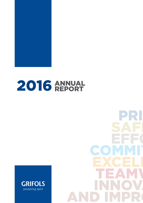

# 2016 ANNUAL



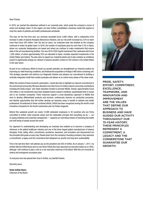#### Dear Friends,

In 2016, we reached the objectives outlined in our corporate plan, which guide the company's course of action and strategic vision. In this regard, we have further consolidated a business model that aspires to meet the needs of patients and health professionals worldwide.

This year, for the first time ever, our revenues exceeded Euros 4,000 million, with a noteworthy 6.5% increase in sales of plasma therapies (Bioscience Division), and our net profit increased by 2.5% to reach more than Euros 545 million. Over the last six years, our employee base has doubled as the company continues to widen its global reach. In 2016, the number of employees grew by more than 5.3% in Spain, where our corporate headquarters are based and where we continue to make investments that ensure state of the art manufacturing facilities. The new 2016-2020 Capital Investment Plan, bestowed with Euros 1,200 million, of which approximately 25% are allocated to Spain, includes important investments in the United States and Ireland. The plan aims to expand our industrial plants and it also contains an ambitious project to significantly enlarge our network of plasma donation centers to 225 centers in the United States in the near future.

As part of our continuous efforts to boost our growth potential, we strengthened our financial position by improving our debt financing conditions, and finalized the acquisition of Hologic's NAT donor screening unit. This strategic operation will reinforce our Diagnostic Division and advance our commitment to building a vertically integrated model that creates synergies and allows us to control every phase of the value chain.

Within the context of these economic parameters, I would also like to highlight our staunch commitment to the environment and society. We have allocated more than Euros 24 million toward community contributions including the Ebola project and made important inroads to promote R&D&I. Overall, approximately Euros 220 million in net investments have been targeted toward research initiatives, spearheaded both in-house and in our investee companies. These resources support a cross-disciplinary approach to R&D&I that aims to develop differentiated products and services, continuously improve our productive processes, and identify opportunities that will further develop our business areas in benefit of patients and health professional. As testament to these combined efforts, Grifols has been recognized among the world's most innovative companies for the fourth consecutive year by Forbes magazine.

Behind this s<br>committed to<br>on-going initiand<br>and well-bein Behind this sustained growth are nearly 15,000 dedicated employees in 30 countries who are firmly committed to Grifols' solid corporate values and the inalienable principle that everything we do  $-$  our on-going initiatives and corporate management — supports our overriding mission of improving the health and well-being of people around the world.

Our approach to unde<br>
reference in the globa<br>
thengpies. Pride, safet<br>
the principles that quic the principles that guide<br>the principles that guide<br>a commitment, a legad<br>This is the last time the Our approach to understanding and developing our business has enabled us to become a company of reference in the global healthcare industry and one of the three largest global manufacturers of plasma therapies. Pride, safety, effort, commitment, excellence, teamwork, and innovation and improvement are the principles that guide us every day. Passed down from the company's founding members, they represent a commitment, a legacy and the cornerstone that safeguard our growth and long-term sustainability.

International and the material material and the problem and the property and transparent succession plan.<br>To everyone who has placed their trust in Grifols n This is the last time that I will address you as the president and CEO of Grifols. As of January 1, 2017, my brother Raimon Grífols Roura and my son Víctor Grífols Deu have assumed my executive duties as co-CEOs, although I will continue to play a role as a non-executive chairman of the Board. With this we conclude an orderly and transparent succession plan.

To everyone who has placed their trust in Grifd<br>Sincerely yours,<br>Víctor Grífols Boura To everyone who has placed their trust in Grifols, my heartfelt thanks.

Sincerely yours,

**Víctor Grífols Roura**<br>Chairman of the Board **Víctor Grífols Roura** Chairman of the Board



Pride, Safety, Effort, Commitment, Excellence, Teamwork, and Innovation and Improvement are the values that define our approach to business and have guided our activity throughout our 75-year history. These principles represent a commitment, a legacy and the cornerstone that guarantee our growth.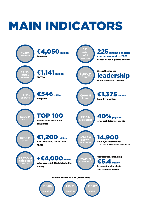## Main Indicators

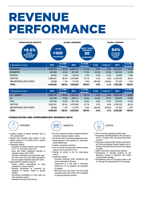## REVENUE PERFORMANCE

| <b>CONSOLIDATED GROWTH</b><br>$+6.5%$<br><b>SALES</b><br><b>BIOSCIENCE</b><br><b>DIVISION</b> | <b>SALES</b><br>+100<br><b>COUNTRIES</b> |                             | <b>GLOBAL PRESENCE</b><br><b>DIRECT SALES</b><br><b>PRESENCE</b><br>30<br><b>COUNTRIES</b> |                             |            | <b>GLOBAL COMPANY</b><br>94%<br><b>OF SALES</b><br><b>OUTSIDE</b><br><b>SPAIN</b> |           |                             |
|-----------------------------------------------------------------------------------------------|------------------------------------------|-----------------------------|--------------------------------------------------------------------------------------------|-----------------------------|------------|-----------------------------------------------------------------------------------|-----------|-----------------------------|
| In thousands of euros                                                                         | 2016                                     | % of Net<br><b>Revenues</b> | 2015                                                                                       | % of Net<br><b>Revenues</b> | % Var      | $%$ Var cc*                                                                       | 2014      | % of Net<br><b>Revenues</b> |
| <b>BIOSCIENCE</b>                                                                             | 3,228,275                                | 79.7%                       | 3,032,111                                                                                  | 77.1%                       | 6.5%       | 6.6%                                                                              | 2,513,510 | 74.9%                       |
| <b>DIAGNOSTIC</b>                                                                             | 663.983                                  | 16.4%                       | 691.452                                                                                    | 17.6%                       | $(4.0\%)$  | $(3.9\%)$                                                                         | 620,022   | 18.5%                       |
| <b>HOSPITAL</b>                                                                               | 98,583                                   | 2.4%                        | 96,245                                                                                     | 2.4%                        | 2.4%       | 4.5%                                                                              | 94,800    | 2.8%                        |
| <b>SUBTOTAL</b>                                                                               | 3,990,841                                | 98.5%                       | 3,819,808                                                                                  | 97.1%                       | 4.5%       | 4.6%                                                                              | 3,228,332 | 96.2%                       |
| RAW MATERIALS AND OTHERS                                                                      | 58,989                                   | 1.5%                        | 114,755                                                                                    | 2.9%                        | $(48.6\%)$ | $(49.0\%)$                                                                        | 127,052   | 3.8%                        |
| <b>TOTAL</b>                                                                                  | 4,049,830                                | 100.0%                      | 3,934,563                                                                                  | 100.0%                      | 2.9%       | 3.1%                                                                              | 3,355,384 | 100.0%                      |

| In thousands of euros    | 2016      | % of Net<br><b>Revenues</b> | 2015      | % of Net<br><b>Revenues</b> | % Var      | $%$ Var cc* | 2014      | % of Net<br><b>Revenues</b> |
|--------------------------|-----------|-----------------------------|-----------|-----------------------------|------------|-------------|-----------|-----------------------------|
| $US + CANADA$            | 2,663,197 | 65.8%                       | 2,505,791 | 63.7%                       | 6.3%       | 5.6%        | 2,042,700 | 60.9%                       |
| <b>UE</b>                | 640,249   | 15.8%                       | 662,917   | 16.8%                       | $(3.4\%)$  | $(2.7\%)$   | 662,802   | 19.8%                       |
| <b>ROW</b>               | 687,395   | 16.9%                       | 651,100   | 16.6%                       | 5.6%       | 8.4%        | 522,830   | 15.5%                       |
| <b>SUBTOTAL</b>          | 3,990,841 | 98.5%                       | 3.819.808 | 97.1%                       | 4.5%       | 4.6%        | 3,228,332 | 96.2%                       |
| RAW MATERIALS AND OTHERS | 58.989    | .5%                         | 114.755   | 2.9%                        | $(48.6\%)$ | $(49.0\%)$  | 127,052   | 3.8%                        |
| <b>TOTAL</b>             | 4,049,830 | 100.0%                      | 3.934.563 | 100.0%                      | 2.9%       | 3.1%        | 3,355,384 | 100.0%                      |

#### Consolidated and Complementary Business Units



- Leading company in plasma therapies, with an 18% market share\*\*.
- Impetus from increased sales volume of main plasma proteins in all markets amid a positive price environment.
- Leadership capacity:
	- Expansion of plasma-donation center network to 171. 21 new centers since 2015.
	- Euros 300 million investment allocated to collection centers (2016-2020)
	- Increased fractionation and purification capacity, more than Euros 500 million allocated in the new capital investment plan (2016-2020).
- Opportunities for growth focused on: - Greater product segmentation to boost
	- penetration in mature markets. - Business optimization by improving the diagnosis of diseases related to plasma proteins.
	- Commercial consolidation in China, India and other emerging markets.
	- Innovation of products and services.



- The only company that offers integrated solutions to blood and plasma donation centers.
- The division with the greatest geographical reach. • Global expansion in key markets: U.S., Asia Pacific and the Middle East.
- Leaders in transfusion medicine.
- Zika virus blood screening tests: positive revenue impact in the second half of 2016.
- Potential for growth in the U.S. blood-typing market.
- Leadership capacity:
- Increased production while maintaining high levels of operational efficiency.
- Construction of a new plant in Emeryville, (California, U.S.) to modernize the production of antigens.
- More than Euros 140 million in the new capital investment plan (2016-2020) will be allocated to improve production facilities.



- 30% of revenues generated outside Spain.
- Progressive internationalization with presence in the U.S., Portugal, Chile and several Asia-Pacific countries.
- Intravenous Solutions/Fluid Therapy and Pharmatech that encompasses Hospital Logistics and intravenous therapy devices were the main engines of growth.
- Uplift of third-party manufacturing contracts
- Development of specialty products for the Bioscience Division in alignment with Grifols complementarity strategy.
- Strengthening of the Kiro Oncology system in the U.S. through its implementation in two hospitals.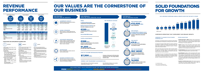### **OPTIMIZATION** Enhance competitiveness to optimize costs and

20 million in net investments in in-house and investee projects

### $\overline{1.5}$  million FOR SOCIETY

### **BIOSCIENCE** €3,228 million munu DIAGNOSTIC €664 million

€99  $\bullet$  Bioscience 80% ● Diagnostic 16% Hospital 2%



#### **OUR RESULTS:** Value created in 2016

LEADERSHIP CAPACITY Anticipate investments and productive infrastructures to meet market demand



GLOBAL EXPANSION

Build our presence in existing markets with new products and services, and promote access to new markets



#### **ACCELERATE INNOVATION**

Develop a portfolio of competitive R&D products, innovate in quality and safety, and increase our presence in other medical fields by acquiring stakes in research companies



improve operating margins



#### BUSINESS DIVERSIFICATION

Boost three divisions and explore synergies that foster the development of integrated products and services for the treatment of diseases

#### R&D&I

#### CAPITAL INVESTMENTS

## OUR VALUES ARE THE CORNERSTONE OF OUR BUSINESS

#### 5.4% of total 2016 revenue

€12,020 million Market capitalization FOR SHAREHOLDERS

€268 million allocated to expand and improve the production facilities of the three divisions

€1,200 million New 2016-2020 CAPEX investment plan



### START of the debt refinancing process

\$7,300 million

#### On-going efforts to improve access to medicines and treatments through programs, collaborations and product donations FOR PATIENTS



over two years to a non-profit initiative to treat Ebola in Liberia



## ISO 14001

More than half of total production manufactured in ISO14001-certified facilities



### FOR THE ENVIRONMENT

14,900

employees in 2016. The number of jobs doubled over the last six years



#### FOR EMPLOYEES

#### Orderly and Transparent Succession Plan

Raimon Grífols Roura and Víctor Grífols Deu appointed as joint CEOs as of January 1, 2017.

Víctor Grífols Roura continues as non-executive

chairman of the Board of Directors.

Average cost decreases by 120 basis points and falls below 3.0%. The average maturity exceeds 7 years.

A solid investment policy: comprehensive and long-term oriented

Ranked among the TOP 100 most innovative companies in the world

million

**HOSPITAL** 

ħ

Net income by division

 $\bigoplus$ 

#### OUR STRATEGY: Five pillars of growth

OUR COMMITTMENT: Solid corporate values that define and guide our business

#### OUR APPROACH: How we have created value

pride safety effort commitment excellence Teamwork Innovation & Improvement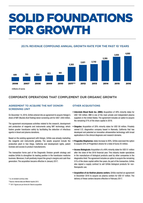## SOLID FOUNDATIONS FOR GROWTH

#### 20.1% Revenue compound annual growth rate for the past 10 years



#### Corporate operations that complement our organic growth

#### AGREEMENT TO ACQUIRE THE NAT DONORscreening unit

On December 14, 2016, Grifols entered into an agreement to acquire Hologic's share of NAT (Nucleic Acid Testing) donor screening unit for USD 1,850 million.

The agreement encompasses activities related to the research, development and production of reagents and instruments using NAT technology, which fosters greater transfusion safety by facilitating the detection of infectious agents in blood and plasma donations.

Based on the existing agreement with Hologic, Grifols was already marketing the reagents and instruments globally. The assets acquired include the production plant in San Diego, California and development rights, patent licenses and access to product manufacturers.

The transaction forms part of the Diagnostic Division growth strategy and enables Grifols to strengthen its leading position in the transfusion medicine business. Moreover, it will positively impact the group's margins and cash flow generation. The acquisition became effective in January 2017.

#### **OTHER ACQUISITIONS**

- **Interstate Blood Bank Inc. (IBBI):** Acquisition of 49% minority stake for USD 100 million. IBBI is one of the main private and independent plasma suppliers in the United States. The agreement includes an option to acquire the remaining 51% of the share capital in 2019.
- **Singulex:** Acquisition of 20% minority stake for USD 50 million. Privately owned U.S. diagnostics company based in Alameda, California that has developed and patented an innovative ultrasensitive technology with broad applications in the clinical diagnosis and research domains.
- **Progenika Biopharma:** stake Increase to 90%. Grifols exercised the option to acquire 33% of Progenika's shares for a total of Euros 25 million.
- **Access Biologicals:** Acquisition of a 49% minority stake for USD 51 million after the close of the 2016 financial year. This industry leader specializes in the manufacture of biological products used by other companies in the diagnostics field. The agreement includes an option to acquire the remaining 51% of the share capital within five years. As part of the transaction, Grifols also signed a supply contract to sell Grifols biological products for nontherapeutic use.
- **Acquisition of six Kedrion plasma centers.** Grifols reached an agreement in December 2016 to acquire six plasma centers for USD 47 million. The delivery of these centers became effective in February 2017.

<sup>\*</sup> cc: at constant currency rates

<sup>\*\*</sup>Source: Internal data and Market reports 2015

<sup>\*\*\* 2011</sup> figures are pro forma for Talecris acquisition